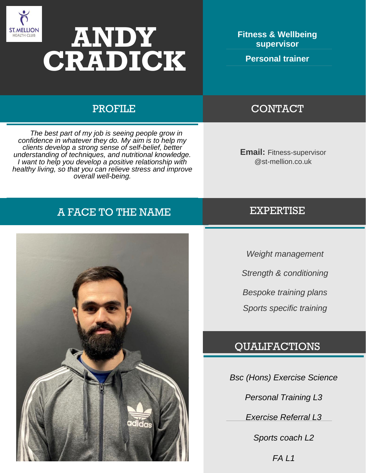

# **ANDY CRADICK**

**Fitness & Wellbeing supervisor** 

**Personal trainer** 

 *The best part of my job is seeing people grow in confidence in whatever they do. My aim is to help my clients develop a strong sense of self-belief, better understanding of techniques, and nutritional knowledge. I want to help you develop a positive relationship with healthy living, so that you can relieve stress and improve overall well-being.*

# A FACE TO THE NAME EXPERTISE



# PROFILE CONTACT

**Email:** Fitness-supervisor @st-mellion.co.uk

*Weight management Strength & conditioning Bespoke training plans Sports specific training*

# QUALIFACTIONS

*Bsc (Hons) Exercise Science* 

*Personal Training L3*

*Exercise Referral L3*

*Sports coach L2*

*FA L1*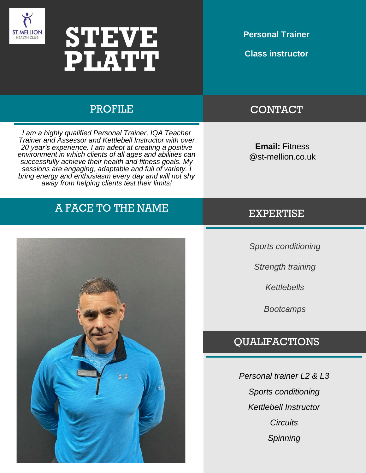



**Personal Trainer**

**Class instructor**

## PROFILE CONTACT

**Email:** Fitness @st-mellion.co.uk

# A FACE TO THE NAME EXPERTISE

*I am a highly qualified Personal Trainer, IQA Teacher Trainer and Assessor and Kettlebell Instructor with over 20 year's experience. I am adept at creating a positive environment in which clients of all ages and abilities can successfully achieve their health and fitness goals. My sessions are engaging, adaptable and full of variety. I bring energy and enthusiasm every day and will not shy away from helping clients test their limits!*



*Sports conditioning* 

*Strength training*

*Kettlebells* 

*Bootcamps*

### QUALIFACTIONS

*Personal trainer L2 & L3 Sports conditioning Kettlebell Instructor Circuits Spinning*